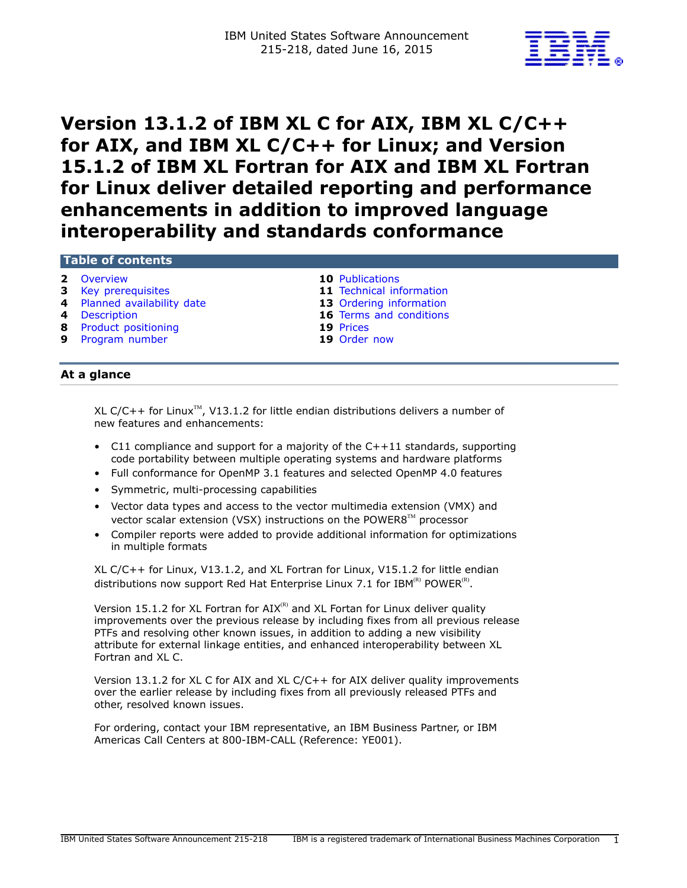

# **Version 13.1.2 of IBM XL C for AIX, IBM XL C/C++ for AIX, and IBM XL C/C++ for Linux; and Version 15.1.2 of IBM XL Fortran for AIX and IBM XL Fortran for Linux deliver detailed reporting and performance enhancements in addition to improved language interoperability and standards conformance**

# **Table of contents**

- **2** [Overview](#page-1-0) **10** [Publications](#page-9-0)
- **3** [Key prerequisites](#page-2-0) **11** [Technical information](#page-10-0)
- **4** [Planned availability date](#page-3-0) **13** [Ordering information](#page-12-0)<br>**4** Description **16** Terms and conditions
- 
- **8** [Product positioning](#page-7-0) **19** [Prices](#page-18-0)
- **9** [Program number](#page-8-0) **19** [Order now](#page-18-1)

- **16** [Terms and conditions](#page-15-0)
	-
- 

# **At a glance**

XL C/C++ for Linux<sup>TM</sup>, V13.1.2 for little endian distributions delivers a number of new features and enhancements:

- C11 compliance and support for a majority of the C++11 standards, supporting code portability between multiple operating systems and hardware platforms
- Full conformance for OpenMP 3.1 features and selected OpenMP 4.0 features
- Symmetric, multi-processing capabilities
- Vector data types and access to the vector multimedia extension (VMX) and vector scalar extension (VSX) instructions on the POWER8<sup>™</sup> processor
- Compiler reports were added to provide additional information for optimizations in multiple formats

XL C/C++ for Linux, V13.1.2, and XL Fortran for Linux, V15.1.2 for little endian distributions now support Red Hat Enterprise Linux 7.1 for IBM $^{(R)}$  POWER $^{(R)}$ .

Version 15.1.2 for XL Fortran for  $AIX^{(R)}$  and XL Fortan for Linux deliver quality improvements over the previous release by including fixes from all previous release PTFs and resolving other known issues, in addition to adding a new visibility attribute for external linkage entities, and enhanced interoperability between XL Fortran and XL C.

Version 13.1.2 for XL C for AIX and XL C/C++ for AIX deliver quality improvements over the earlier release by including fixes from all previously released PTFs and other, resolved known issues.

For ordering, contact your IBM representative, an IBM Business Partner, or IBM Americas Call Centers at 800-IBM-CALL (Reference: YE001).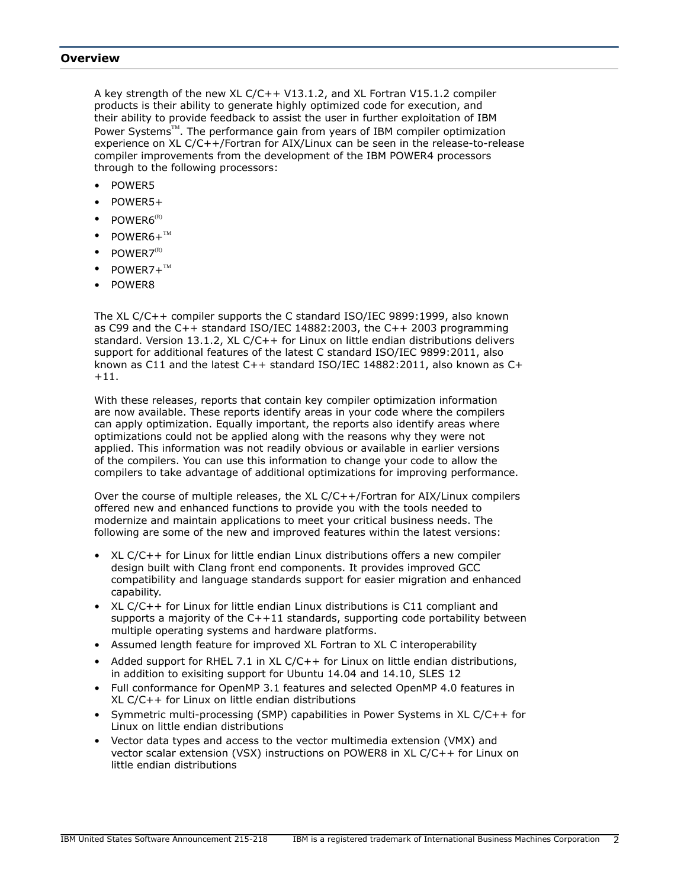## <span id="page-1-0"></span>**Overview**

A key strength of the new XL C/C++ V13.1.2, and XL Fortran V15.1.2 compiler products is their ability to generate highly optimized code for execution, and their ability to provide feedback to assist the user in further exploitation of IBM Power Systems<sup>™</sup>. The performance gain from years of IBM compiler optimization experience on XL C/C++/Fortran for AIX/Linux can be seen in the release-to-release compiler improvements from the development of the IBM POWER4 processors through to the following processors:

- POWER5
- POWER5+
- $POWFR6^{(R)}$
- $POWER6+^{TM}$
- $POWFR7^{\text{(R)}}$
- $POWER7+^{TM}$
- POWER8

The XL C/C++ compiler supports the C standard ISO/IEC 9899:1999, also known as C99 and the C++ standard ISO/IEC 14882:2003, the C++ 2003 programming standard. Version 13.1.2, XL C/C++ for Linux on little endian distributions delivers support for additional features of the latest C standard ISO/IEC 9899:2011, also known as C11 and the latest C++ standard ISO/IEC 14882:2011, also known as C+ +11.

With these releases, reports that contain key compiler optimization information are now available. These reports identify areas in your code where the compilers can apply optimization. Equally important, the reports also identify areas where optimizations could not be applied along with the reasons why they were not applied. This information was not readily obvious or available in earlier versions of the compilers. You can use this information to change your code to allow the compilers to take advantage of additional optimizations for improving performance.

Over the course of multiple releases, the XL C/C++/Fortran for AIX/Linux compilers offered new and enhanced functions to provide you with the tools needed to modernize and maintain applications to meet your critical business needs. The following are some of the new and improved features within the latest versions:

- XL C/C++ for Linux for little endian Linux distributions offers a new compiler design built with Clang front end components. It provides improved GCC compatibility and language standards support for easier migration and enhanced capability.
- XL C/C++ for Linux for little endian Linux distributions is C11 compliant and supports a majority of the  $C++11$  standards, supporting code portability between multiple operating systems and hardware platforms.
- Assumed length feature for improved XL Fortran to XL C interoperability
- Added support for RHEL 7.1 in XL C/C++ for Linux on little endian distributions, in addition to exisiting support for Ubuntu 14.04 and 14.10, SLES 12
- Full conformance for OpenMP 3.1 features and selected OpenMP 4.0 features in XL C/C++ for Linux on little endian distributions
- Symmetric multi-processing (SMP) capabilities in Power Systems in XL C/C++ for Linux on little endian distributions
- Vector data types and access to the vector multimedia extension (VMX) and vector scalar extension (VSX) instructions on POWER8 in XL C/C++ for Linux on little endian distributions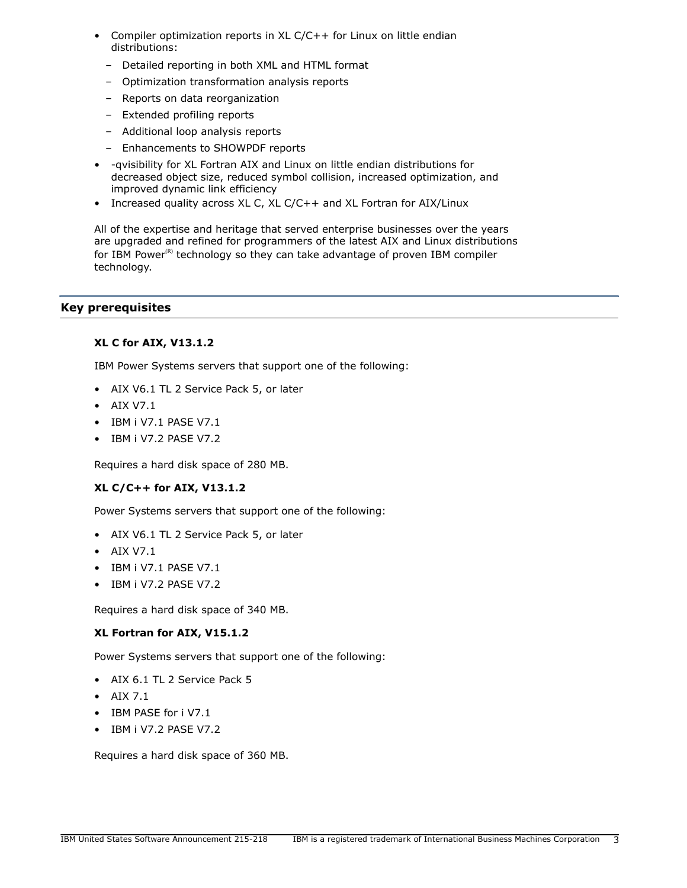- Compiler optimization reports in  $XL C/C++$  for Linux on little endian distributions:
	- Detailed reporting in both XML and HTML format
	- Optimization transformation analysis reports
	- Reports on data reorganization
	- Extended profiling reports
	- Additional loop analysis reports
	- Enhancements to SHOWPDF reports
- -qvisibility for XL Fortran AIX and Linux on little endian distributions for decreased object size, reduced symbol collision, increased optimization, and improved dynamic link efficiency
- Increased quality across XL C, XL C/C++ and XL Fortran for AIX/Linux

All of the expertise and heritage that served enterprise businesses over the years are upgraded and refined for programmers of the latest AIX and Linux distributions for IBM Power $<sup>(R)</sup>$  technology so they can take advantage of proven IBM compiler</sup> technology.

# <span id="page-2-0"></span>**Key prerequisites**

# **XL C for AIX, V13.1.2**

IBM Power Systems servers that support one of the following:

- AIX V6.1 TL 2 Service Pack 5, or later
- AIX V7.1
- IBM i V7.1 PASE V7.1
- IBM i V7.2 PASE V7.2

Requires a hard disk space of 280 MB.

# **XL C/C++ for AIX, V13.1.2**

Power Systems servers that support one of the following:

- AIX V6.1 TL 2 Service Pack 5, or later
- AIX V7.1
- IBM i V7.1 PASE V7.1
- IBM i V7.2 PASE V7.2

Requires a hard disk space of 340 MB.

# **XL Fortran for AIX, V15.1.2**

Power Systems servers that support one of the following:

- AIX 6.1 TL 2 Service Pack 5
- AIX 7.1
- IBM PASE for i V7.1
- IBM i V7.2 PASE V7.2

Requires a hard disk space of 360 MB.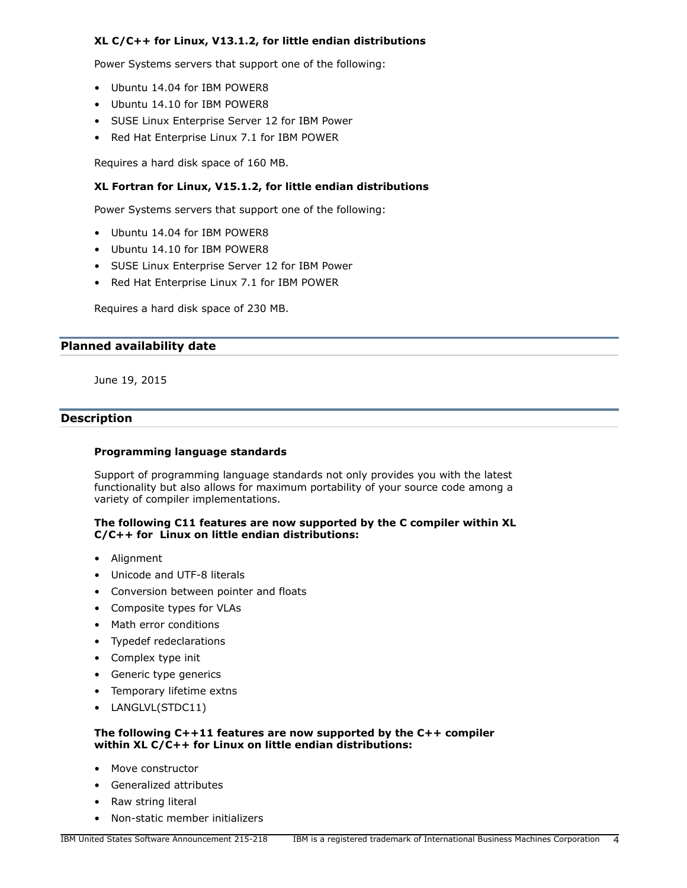# **XL C/C++ for Linux, V13.1.2, for little endian distributions**

Power Systems servers that support one of the following:

- Ubuntu 14.04 for IBM POWER8
- Ubuntu 14.10 for IBM POWER8
- SUSE Linux Enterprise Server 12 for IBM Power
- Red Hat Enterprise Linux 7.1 for IBM POWER

Requires a hard disk space of 160 MB.

# **XL Fortran for Linux, V15.1.2, for little endian distributions**

Power Systems servers that support one of the following:

- Ubuntu 14.04 for IBM POWER8
- Ubuntu 14.10 for IBM POWER8
- SUSE Linux Enterprise Server 12 for IBM Power
- Red Hat Enterprise Linux 7.1 for IBM POWER

Requires a hard disk space of 230 MB.

#### <span id="page-3-0"></span>**Planned availability date**

June 19, 2015

# <span id="page-3-1"></span>**Description**

### **Programming language standards**

Support of programming language standards not only provides you with the latest functionality but also allows for maximum portability of your source code among a variety of compiler implementations.

#### **The following C11 features are now supported by the C compiler within XL C/C++ for Linux on little endian distributions:**

- Alignment
- Unicode and UTF-8 literals
- Conversion between pointer and floats
- Composite types for VLAs
- Math error conditions
- Typedef redeclarations
- Complex type init
- Generic type generics
- Temporary lifetime extns
- LANGLVL(STDC11)

# **The following C++11 features are now supported by the C++ compiler within XL C/C++ for Linux on little endian distributions:**

- Move constructor
- Generalized attributes
- Raw string literal
- Non-static member initializers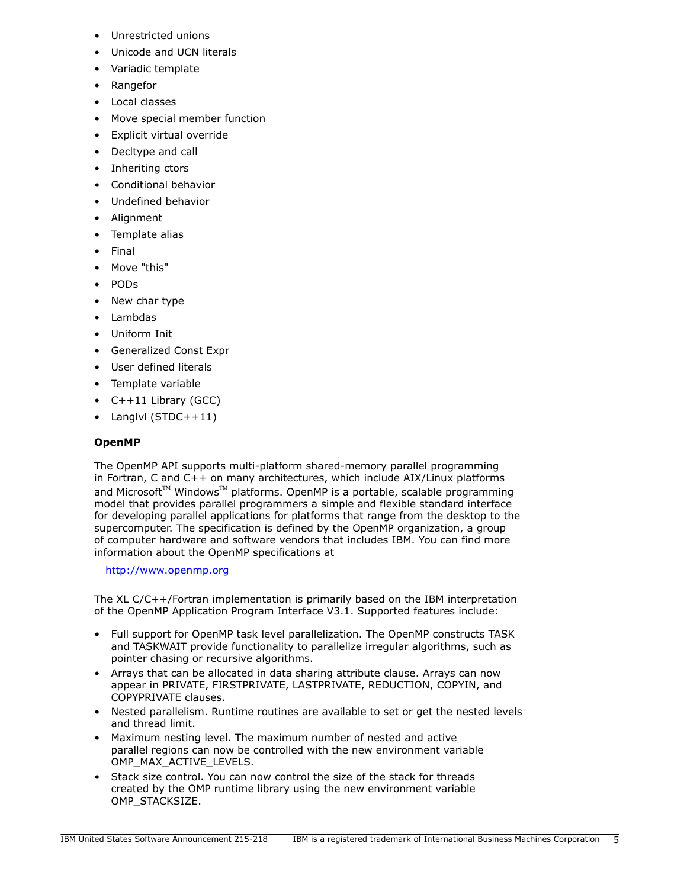- Unrestricted unions
- Unicode and UCN literals
- Variadic template
- Rangefor
- Local classes
- Move special member function
- Explicit virtual override
- Decltype and call
- Inheriting ctors
- Conditional behavior
- Undefined behavior
- Alignment
- Template alias
- Final
- Move "this"
- PODs
- New char type
- Lambdas
- Uniform Init
- Generalized Const Expr
- User defined literals
- Template variable
- C++11 Library (GCC)
- Langlvl (STDC++11)

# **OpenMP**

The OpenMP API supports multi-platform shared-memory parallel programming in Fortran, C and C++ on many architectures, which include AIX/Linux platforms and Microsoft<sup>™</sup> Windows<sup>™</sup> platforms. OpenMP is a portable, scalable programming model that provides parallel programmers a simple and flexible standard interface for developing parallel applications for platforms that range from the desktop to the supercomputer. The specification is defined by the OpenMP organization, a group of computer hardware and software vendors that includes IBM. You can find more information about the OpenMP specifications at

# <http://www.openmp.org>

The XL C/C++/Fortran implementation is primarily based on the IBM interpretation of the OpenMP Application Program Interface V3.1. Supported features include:

- Full support for OpenMP task level parallelization. The OpenMP constructs TASK and TASKWAIT provide functionality to parallelize irregular algorithms, such as pointer chasing or recursive algorithms.
- Arrays that can be allocated in data sharing attribute clause. Arrays can now appear in PRIVATE, FIRSTPRIVATE, LASTPRIVATE, REDUCTION, COPYIN, and COPYPRIVATE clauses.
- Nested parallelism. Runtime routines are available to set or get the nested levels and thread limit.
- Maximum nesting level. The maximum number of nested and active parallel regions can now be controlled with the new environment variable OMP\_MAX\_ACTIVE\_LEVELS.
- Stack size control. You can now control the size of the stack for threads created by the OMP runtime library using the new environment variable OMP\_STACKSIZE.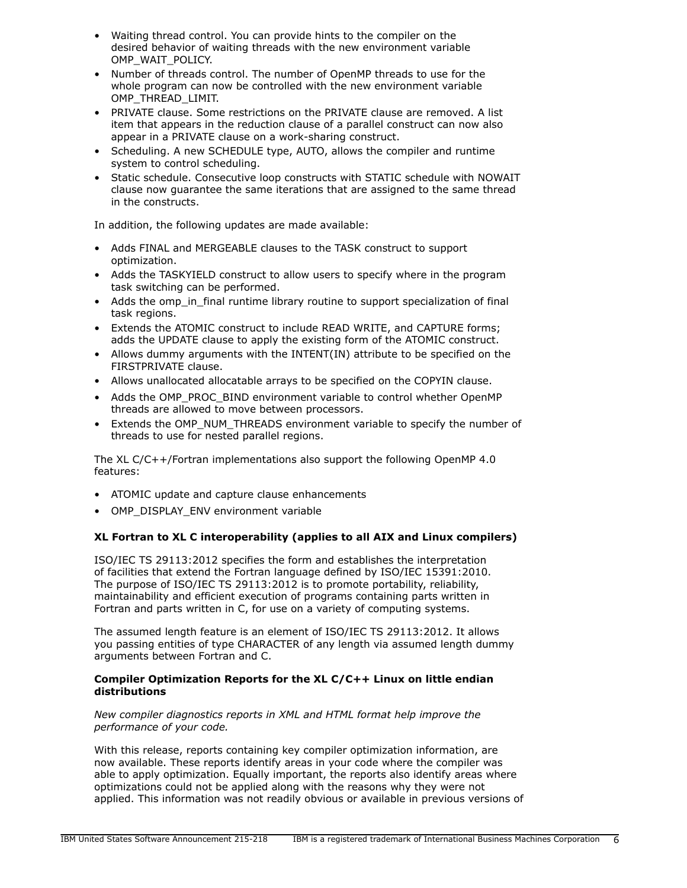- Waiting thread control. You can provide hints to the compiler on the desired behavior of waiting threads with the new environment variable OMP\_WAIT\_POLICY.
- Number of threads control. The number of OpenMP threads to use for the whole program can now be controlled with the new environment variable OMP\_THREAD\_LIMIT.
- PRIVATE clause. Some restrictions on the PRIVATE clause are removed. A list item that appears in the reduction clause of a parallel construct can now also appear in a PRIVATE clause on a work-sharing construct.
- Scheduling. A new SCHEDULE type, AUTO, allows the compiler and runtime system to control scheduling.
- Static schedule. Consecutive loop constructs with STATIC schedule with NOWAIT clause now guarantee the same iterations that are assigned to the same thread in the constructs.

In addition, the following updates are made available:

- Adds FINAL and MERGEABLE clauses to the TASK construct to support optimization.
- Adds the TASKYIELD construct to allow users to specify where in the program task switching can be performed.
- Adds the omp in final runtime library routine to support specialization of final task regions.
- Extends the ATOMIC construct to include READ WRITE, and CAPTURE forms; adds the UPDATE clause to apply the existing form of the ATOMIC construct.
- Allows dummy arguments with the INTENT(IN) attribute to be specified on the FIRSTPRIVATE clause.
- Allows unallocated allocatable arrays to be specified on the COPYIN clause.
- Adds the OMP\_PROC\_BIND environment variable to control whether OpenMP threads are allowed to move between processors.
- Extends the OMP\_NUM\_THREADS environment variable to specify the number of threads to use for nested parallel regions.

The XL C/C++/Fortran implementations also support the following OpenMP 4.0 features:

- ATOMIC update and capture clause enhancements
- OMP\_DISPLAY\_ENV environment variable

# **XL Fortran to XL C interoperability (applies to all AIX and Linux compilers)**

ISO/IEC TS 29113:2012 specifies the form and establishes the interpretation of facilities that extend the Fortran language defined by ISO/IEC 15391:2010. The purpose of ISO/IEC TS 29113:2012 is to promote portability, reliability, maintainability and efficient execution of programs containing parts written in Fortran and parts written in C, for use on a variety of computing systems.

The assumed length feature is an element of ISO/IEC TS 29113:2012. It allows you passing entities of type CHARACTER of any length via assumed length dummy arguments between Fortran and C.

# **Compiler Optimization Reports for the XL C/C++ Linux on little endian distributions**

#### *New compiler diagnostics reports in XML and HTML format help improve the performance of your code.*

With this release, reports containing key compiler optimization information, are now available. These reports identify areas in your code where the compiler was able to apply optimization. Equally important, the reports also identify areas where optimizations could not be applied along with the reasons why they were not applied. This information was not readily obvious or available in previous versions of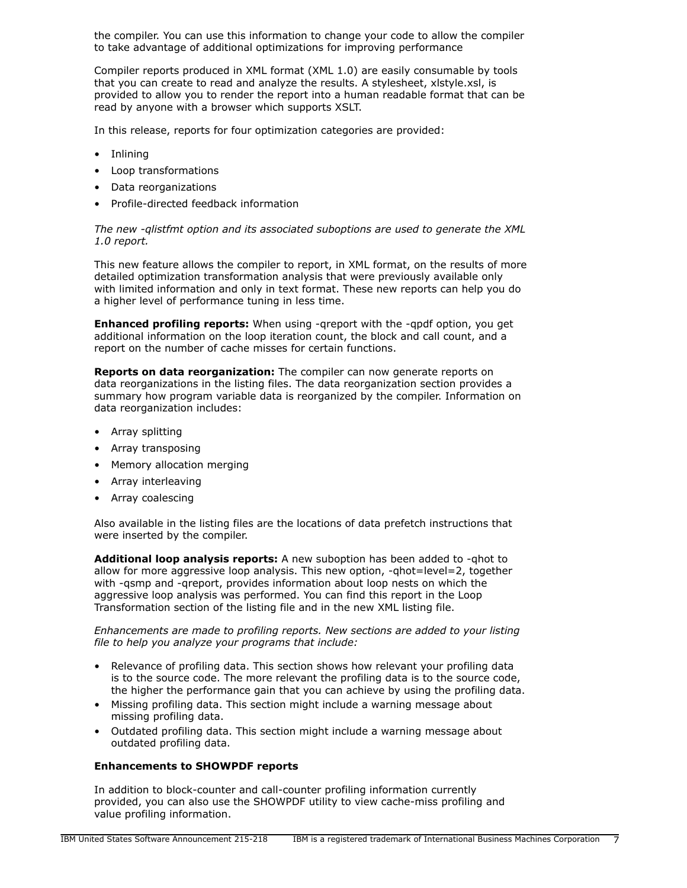the compiler. You can use this information to change your code to allow the compiler to take advantage of additional optimizations for improving performance

Compiler reports produced in XML format (XML 1.0) are easily consumable by tools that you can create to read and analyze the results. A stylesheet, xlstyle.xsl, is provided to allow you to render the report into a human readable format that can be read by anyone with a browser which supports XSLT.

In this release, reports for four optimization categories are provided:

- Inlining
- Loop transformations
- Data reorganizations
- Profile-directed feedback information

*The new -qlistfmt option and its associated suboptions are used to generate the XML 1.0 report.*

This new feature allows the compiler to report, in XML format, on the results of more detailed optimization transformation analysis that were previously available only with limited information and only in text format. These new reports can help you do a higher level of performance tuning in less time.

**Enhanced profiling reports:** When using -qreport with the -qpdf option, you get additional information on the loop iteration count, the block and call count, and a report on the number of cache misses for certain functions.

**Reports on data reorganization:** The compiler can now generate reports on data reorganizations in the listing files. The data reorganization section provides a summary how program variable data is reorganized by the compiler. Information on data reorganization includes:

- Array splitting
- Array transposing
- Memory allocation merging
- Array interleaving
- Array coalescing

Also available in the listing files are the locations of data prefetch instructions that were inserted by the compiler.

**Additional loop analysis reports:** A new suboption has been added to -qhot to allow for more aggressive loop analysis. This new option, -qhot=level=2, together with -qsmp and -qreport, provides information about loop nests on which the aggressive loop analysis was performed. You can find this report in the Loop Transformation section of the listing file and in the new XML listing file.

*Enhancements are made to profiling reports. New sections are added to your listing file to help you analyze your programs that include:*

- Relevance of profiling data. This section shows how relevant your profiling data is to the source code. The more relevant the profiling data is to the source code, the higher the performance gain that you can achieve by using the profiling data.
- Missing profiling data. This section might include a warning message about missing profiling data.
- Outdated profiling data. This section might include a warning message about outdated profiling data.

#### **Enhancements to SHOWPDF reports**

In addition to block-counter and call-counter profiling information currently provided, you can also use the SHOWPDF utility to view cache-miss profiling and value profiling information.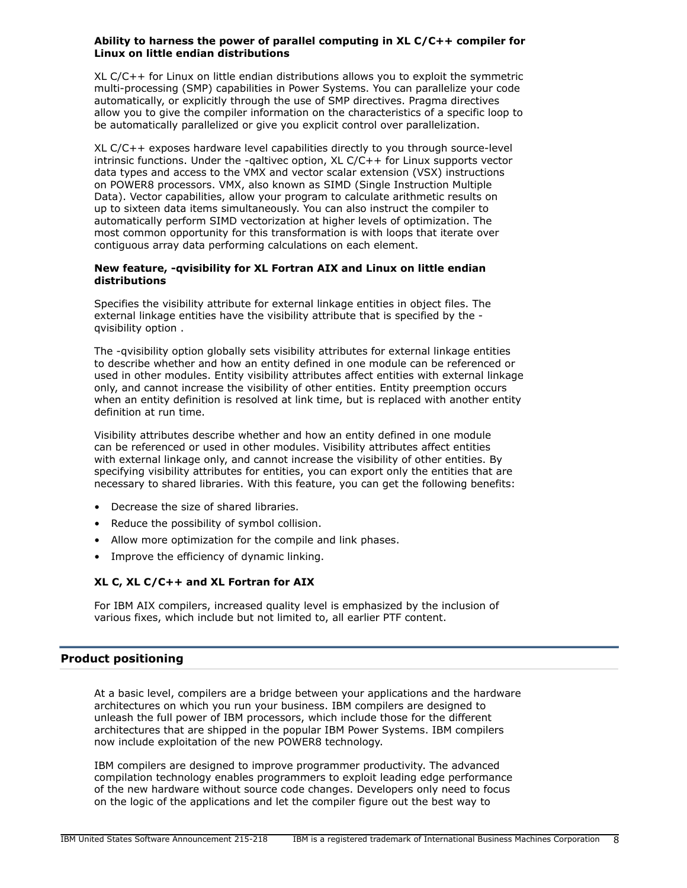### **Ability to harness the power of parallel computing in XL C/C++ compiler for Linux on little endian distributions**

XL C/C++ for Linux on little endian distributions allows you to exploit the symmetric multi-processing (SMP) capabilities in Power Systems. You can parallelize your code automatically, or explicitly through the use of SMP directives. Pragma directives allow you to give the compiler information on the characteristics of a specific loop to be automatically parallelized or give you explicit control over parallelization.

XL C/C++ exposes hardware level capabilities directly to you through source-level intrinsic functions. Under the -qaltivec option, XL C/C++ for Linux supports vector data types and access to the VMX and vector scalar extension (VSX) instructions on POWER8 processors. VMX, also known as SIMD (Single Instruction Multiple Data). Vector capabilities, allow your program to calculate arithmetic results on up to sixteen data items simultaneously. You can also instruct the compiler to automatically perform SIMD vectorization at higher levels of optimization. The most common opportunity for this transformation is with loops that iterate over contiguous array data performing calculations on each element.

#### **New feature, -qvisibility for XL Fortran AIX and Linux on little endian distributions**

Specifies the visibility attribute for external linkage entities in object files. The external linkage entities have the visibility attribute that is specified by the qvisibility option .

The -qvisibility option globally sets visibility attributes for external linkage entities to describe whether and how an entity defined in one module can be referenced or used in other modules. Entity visibility attributes affect entities with external linkage only, and cannot increase the visibility of other entities. Entity preemption occurs when an entity definition is resolved at link time, but is replaced with another entity definition at run time.

Visibility attributes describe whether and how an entity defined in one module can be referenced or used in other modules. Visibility attributes affect entities with external linkage only, and cannot increase the visibility of other entities. By specifying visibility attributes for entities, you can export only the entities that are necessary to shared libraries. With this feature, you can get the following benefits:

- Decrease the size of shared libraries.
- Reduce the possibility of symbol collision.
- Allow more optimization for the compile and link phases.
- Improve the efficiency of dynamic linking.

# **XL C, XL C/C++ and XL Fortran for AIX**

For IBM AIX compilers, increased quality level is emphasized by the inclusion of various fixes, which include but not limited to, all earlier PTF content.

# <span id="page-7-0"></span>**Product positioning**

At a basic level, compilers are a bridge between your applications and the hardware architectures on which you run your business. IBM compilers are designed to unleash the full power of IBM processors, which include those for the different architectures that are shipped in the popular IBM Power Systems. IBM compilers now include exploitation of the new POWER8 technology.

IBM compilers are designed to improve programmer productivity. The advanced compilation technology enables programmers to exploit leading edge performance of the new hardware without source code changes. Developers only need to focus on the logic of the applications and let the compiler figure out the best way to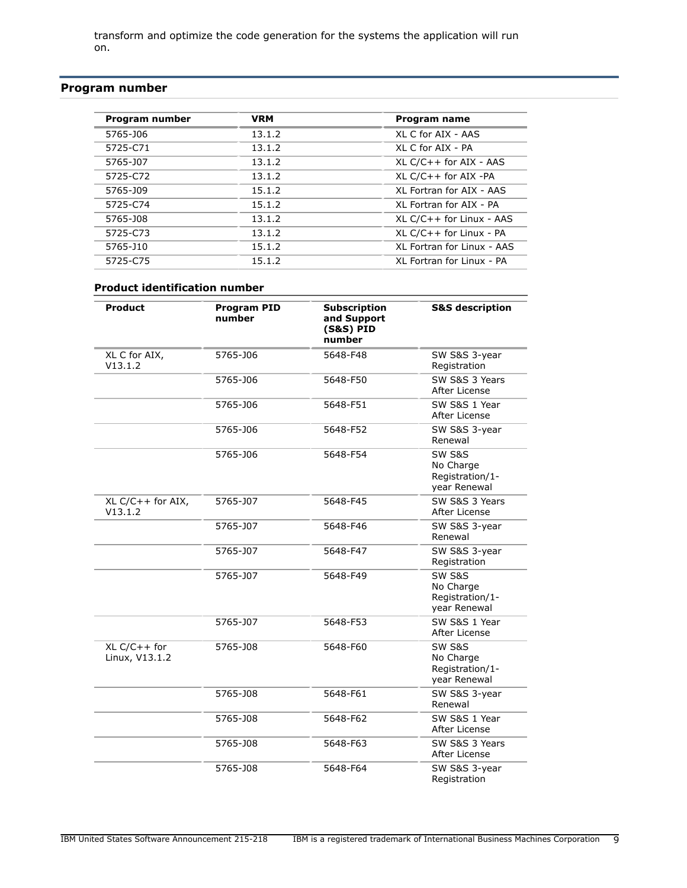transform and optimize the code generation for the systems the application will run on.

# <span id="page-8-0"></span>**Program number**

| Program number | <b>VRM</b> | Program name               |
|----------------|------------|----------------------------|
| 5765-J06       | 13.1.2     | XI C for ATX - AAS         |
| 5725-C71       | 13.1.2     | XI C for ATX - PA          |
| 5765-J07       | 13.1.2     | $XL C/C++$ for AIX - AAS   |
| 5725-C72       | 13.1.2     | $XL C/C++$ for AIX -PA     |
| 5765-J09       | 15.1.2     | XI Fortran for AIX - AAS   |
| 5725-C74       | 15.1.2     | XI Fortran for AIX - PA    |
| 5765-J08       | 13.1.2     | $XL C/C++$ for Linux - AAS |
| 5725-C73       | 13.1.2     | XL C/C++ for Linux - PA    |
| 5765-J10       | 15.1.2     | XI Fortran for Linux - AAS |
| 5725-C75       | 15.1.2     | XI Fortran for Linux - PA  |

### **Product identification number**

| Product                          | <b>Program PID</b><br>number | <b>Subscription</b><br>and Support<br>(S&S) PID<br>number | <b>S&amp;S description</b>                                        |
|----------------------------------|------------------------------|-----------------------------------------------------------|-------------------------------------------------------------------|
| XL C for AIX,<br>V13.1.2         | 5765-J06                     | 5648-F48                                                  | SW S&S 3-year<br>Registration                                     |
|                                  | 5765-J06                     | 5648-F50                                                  | SW S&S 3 Years<br>After License                                   |
|                                  | 5765-J06                     | 5648-F51                                                  | SW S&S 1 Year<br>After License                                    |
|                                  | 5765-J06                     | 5648-F52                                                  | SW S&S 3-year<br>Renewal                                          |
|                                  | 5765-J06                     | 5648-F54                                                  | <b>SW S&amp;S</b><br>No Charge<br>Registration/1-<br>year Renewal |
| $XL C/C++$ for AIX,<br>V13.1.2   | 5765-J07                     | 5648-F45                                                  | SW S&S 3 Years<br>After License                                   |
|                                  | 5765-J07                     | 5648-F46                                                  | SW S&S 3-year<br>Renewal                                          |
|                                  | 5765-J07                     | 5648-F47                                                  | SW S&S 3-year<br>Registration                                     |
|                                  | 5765-J07                     | 5648-F49                                                  | <b>SW S&amp;S</b><br>No Charge<br>Registration/1-<br>year Renewal |
|                                  | 5765-J07                     | 5648-F53                                                  | SW S&S 1 Year<br>After License                                    |
| $XL C/C++ for$<br>Linux, V13.1.2 | 5765-J08                     | 5648-F60                                                  | <b>SW S&amp;S</b><br>No Charge<br>Registration/1-<br>year Renewal |
|                                  | 5765-J08                     | 5648-F61                                                  | SW S&S 3-year<br>Renewal                                          |
| 5765-J08                         |                              | 5648-F62                                                  | SW S&S 1 Year<br>After License                                    |
|                                  | 5765-J08                     | 5648-F63                                                  | SW S&S 3 Years<br>After License                                   |
|                                  | 5765-J08                     | 5648-F64                                                  | SW S&S 3-year<br>Registration                                     |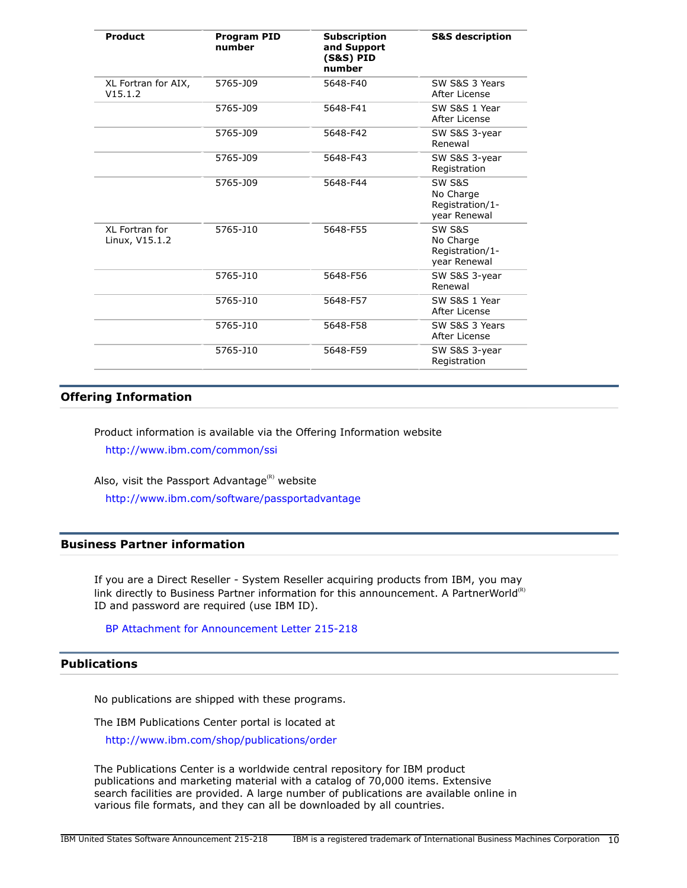| Product                          | <b>Program PID</b><br>number | <b>Subscription</b><br>and Support<br><b>(S&amp;S) PID</b><br>number | <b>S&amp;S</b> description                                        |
|----------------------------------|------------------------------|----------------------------------------------------------------------|-------------------------------------------------------------------|
| XL Fortran for AIX,<br>V15.1.2   | 5765-J09                     | 5648-F40                                                             | SW S&S 3 Years<br>After License                                   |
|                                  | 5765-J09                     | 5648-F41                                                             | SW S&S 1 Year<br>After License                                    |
|                                  | 5765-J09                     | 5648-F42                                                             | SW S&S 3-year<br>Renewal                                          |
|                                  | 5765-J09                     | 5648-F43                                                             | SW S&S 3-year<br>Registration                                     |
|                                  | 5765-J09                     | 5648-F44                                                             | <b>SW S&amp;S</b><br>No Charge<br>Registration/1-<br>year Renewal |
| XL Fortran for<br>Linux, V15.1.2 | 5765-J10                     | 5648-F55                                                             | <b>SW S&amp;S</b><br>No Charge<br>Registration/1-<br>year Renewal |
|                                  | 5765-J10                     | 5648-F56                                                             | SW S&S 3-year<br>Renewal                                          |
|                                  | 5765-J10                     | 5648-F57                                                             | SW S&S 1 Year<br>After License                                    |
|                                  | 5765-J10                     | 5648-F58                                                             | SW S&S 3 Years<br>After License                                   |
|                                  | 5765-J10                     | 5648-F59                                                             | SW S&S 3-year<br>Registration                                     |

# **Offering Information**

Product information is available via the Offering Information website <http://www.ibm.com/common/ssi>

Also, visit the Passport Advantage $(k)$  website <http://www.ibm.com/software/passportadvantage>

#### **Business Partner information**

If you are a Direct Reseller - System Reseller acquiring products from IBM, you may link directly to Business Partner information for this announcement. A PartnerWorld<sup>(R)</sup> ID and password are required (use IBM ID).

# [BP Attachment for Announcement Letter 215-218](https://www.ibm.com/partnerworld/mem/sla.jsp?num=215-218)

# <span id="page-9-0"></span>**Publications**

No publications are shipped with these programs.

The IBM Publications Center portal is located at

<http://www.ibm.com/shop/publications/order>

The Publications Center is a worldwide central repository for IBM product publications and marketing material with a catalog of 70,000 items. Extensive search facilities are provided. A large number of publications are available online in various file formats, and they can all be downloaded by all countries.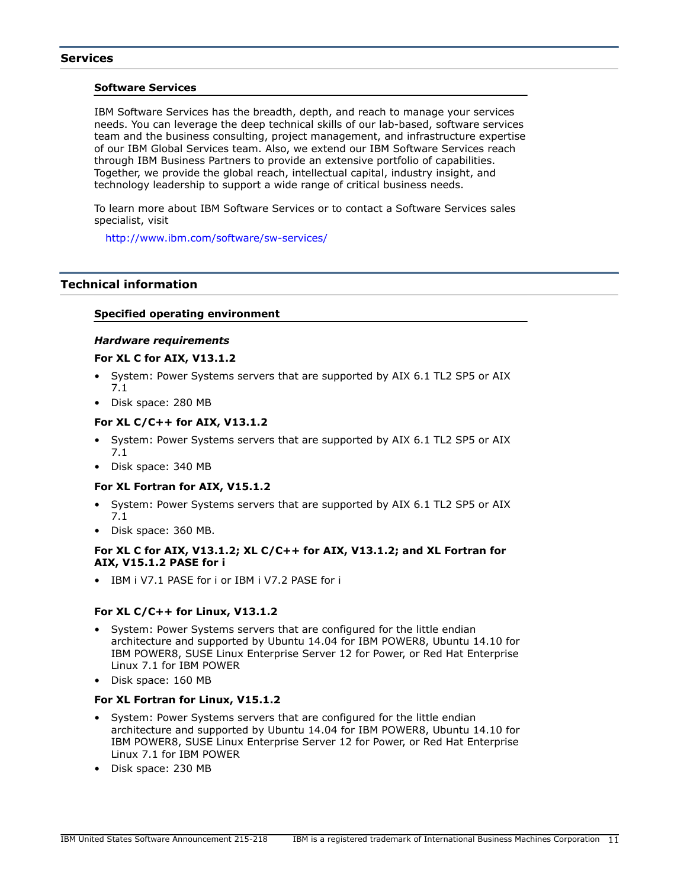#### **Services**

#### **Software Services**

IBM Software Services has the breadth, depth, and reach to manage your services needs. You can leverage the deep technical skills of our lab-based, software services team and the business consulting, project management, and infrastructure expertise of our IBM Global Services team. Also, we extend our IBM Software Services reach through IBM Business Partners to provide an extensive portfolio of capabilities. Together, we provide the global reach, intellectual capital, industry insight, and technology leadership to support a wide range of critical business needs.

To learn more about IBM Software Services or to contact a Software Services sales specialist, visit

<http://www.ibm.com/software/sw-services/>

# <span id="page-10-0"></span>**Technical information**

#### **Specified operating environment**

#### *Hardware requirements*

#### **For XL C for AIX, V13.1.2**

- System: Power Systems servers that are supported by AIX 6.1 TL2 SP5 or AIX 7.1
- Disk space: 280 MB

#### **For XL C/C++ for AIX, V13.1.2**

- System: Power Systems servers that are supported by AIX 6.1 TL2 SP5 or AIX 7.1
- Disk space: 340 MB

#### **For XL Fortran for AIX, V15.1.2**

- System: Power Systems servers that are supported by AIX 6.1 TL2 SP5 or AIX 7.1
- Disk space: 360 MB.

#### **For XL C for AIX, V13.1.2; XL C/C++ for AIX, V13.1.2; and XL Fortran for AIX, V15.1.2 PASE for i**

• IBM i V7.1 PASE for i or IBM i V7.2 PASE for i

#### **For XL C/C++ for Linux, V13.1.2**

- System: Power Systems servers that are configured for the little endian architecture and supported by Ubuntu 14.04 for IBM POWER8, Ubuntu 14.10 for IBM POWER8, SUSE Linux Enterprise Server 12 for Power, or Red Hat Enterprise Linux 7.1 for IBM POWER
- Disk space: 160 MB

#### **For XL Fortran for Linux, V15.1.2**

- System: Power Systems servers that are configured for the little endian architecture and supported by Ubuntu 14.04 for IBM POWER8, Ubuntu 14.10 for IBM POWER8, SUSE Linux Enterprise Server 12 for Power, or Red Hat Enterprise Linux 7.1 for IBM POWER
- Disk space: 230 MB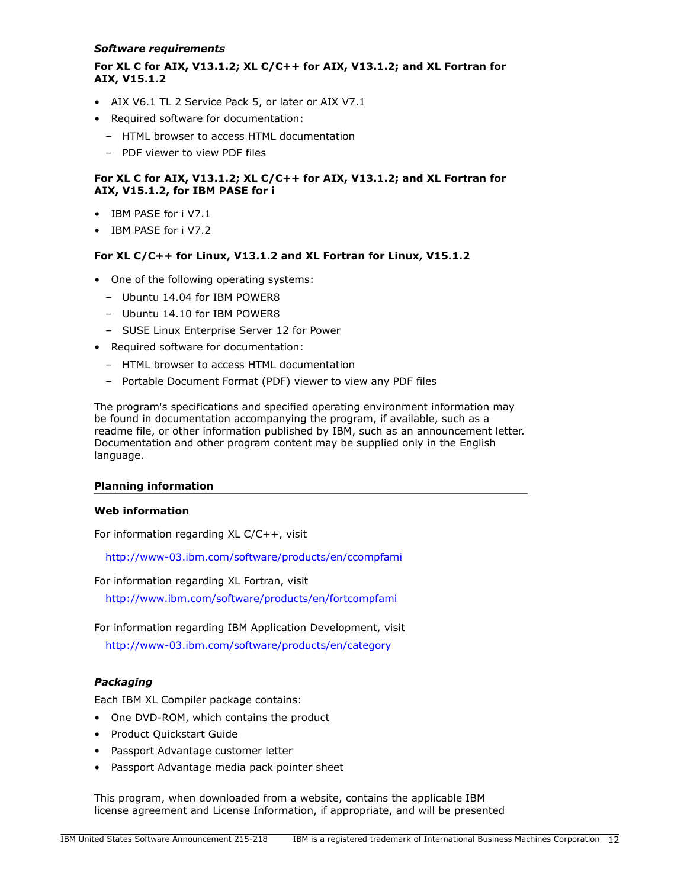#### *Software requirements*

# **For XL C for AIX, V13.1.2; XL C/C++ for AIX, V13.1.2; and XL Fortran for AIX, V15.1.2**

- AIX V6.1 TL 2 Service Pack 5, or later or AIX V7.1
- Required software for documentation:
	- HTML browser to access HTML documentation
	- PDF viewer to view PDF files

# **For XL C for AIX, V13.1.2; XL C/C++ for AIX, V13.1.2; and XL Fortran for AIX, V15.1.2, for IBM PASE for i**

- IBM PASE for i V7.1
- IBM PASE for i V7.2

#### **For XL C/C++ for Linux, V13.1.2 and XL Fortran for Linux, V15.1.2**

- One of the following operating systems:
	- Ubuntu 14.04 for IBM POWER8
	- Ubuntu 14.10 for IBM POWER8
	- SUSE Linux Enterprise Server 12 for Power
- Required software for documentation:
	- HTML browser to access HTML documentation
	- Portable Document Format (PDF) viewer to view any PDF files

The program's specifications and specified operating environment information may be found in documentation accompanying the program, if available, such as a readme file, or other information published by IBM, such as an announcement letter. Documentation and other program content may be supplied only in the English language.

#### **Planning information**

## **Web information**

For information regarding XL C/C++, visit

<http://www-03.ibm.com/software/products/en/ccompfami>

For information regarding XL Fortran, visit

<http://www.ibm.com/software/products/en/fortcompfami>

For information regarding IBM Application Development, visit

<http://www-03.ibm.com/software/products/en/category>

# *Packaging*

Each IBM XL Compiler package contains:

- One DVD-ROM, which contains the product
- Product Quickstart Guide
- Passport Advantage customer letter
- Passport Advantage media pack pointer sheet

This program, when downloaded from a website, contains the applicable IBM license agreement and License Information, if appropriate, and will be presented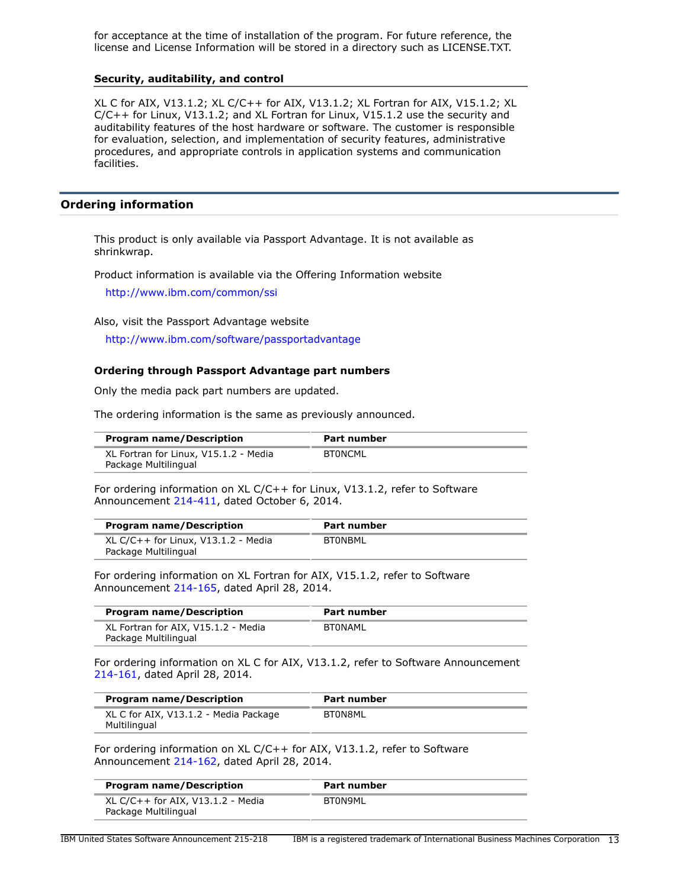for acceptance at the time of installation of the program. For future reference, the license and License Information will be stored in a directory such as LICENSE.TXT.

#### **Security, auditability, and control**

XL C for AIX, V13.1.2; XL C/C++ for AIX, V13.1.2; XL Fortran for AIX, V15.1.2; XL C/C++ for Linux, V13.1.2; and XL Fortran for Linux, V15.1.2 use the security and auditability features of the host hardware or software. The customer is responsible for evaluation, selection, and implementation of security features, administrative procedures, and appropriate controls in application systems and communication facilities.

#### <span id="page-12-0"></span>**Ordering information**

This product is only available via Passport Advantage. It is not available as shrinkwrap.

Product information is available via the Offering Information website

<http://www.ibm.com/common/ssi>

Also, visit the Passport Advantage website

<http://www.ibm.com/software/passportadvantage>

#### **Ordering through Passport Advantage part numbers**

Only the media pack part numbers are updated.

The ordering information is the same as previously announced.

| <b>Program name/Description</b>       | Part number |
|---------------------------------------|-------------|
| XL Fortran for Linux, V15.1.2 - Media | BTONCML     |
| Package Multilingual                  |             |

For ordering information on XL C/C++ for Linux, V13.1.2, refer to Software Announcement [214-411](http://www.ibm.com/common/ssi/cgi-bin/ssialias?infotype=an&subtype=ca&appname=gpateam&supplier=897&letternum=ENUS214-411), dated October 6, 2014.

| <b>Program name/Description</b>                               | Part number |  |
|---------------------------------------------------------------|-------------|--|
| XL C/C++ for Linux, $V13.1.2$ - Media<br>Package Multilingual | BTONBML     |  |

For ordering information on XL Fortran for AIX, V15.1.2, refer to Software Announcement [214-165](http://www.ibm.com/common/ssi/cgi-bin/ssialias?infotype=an&subtype=ca&appname=gpateam&supplier=897&letternum=ENUS214-165), dated April 28, 2014.

| <b>Program name/Description</b>                             | Part number |
|-------------------------------------------------------------|-------------|
| XL Fortran for AIX, V15.1.2 - Media<br>Package Multilingual | BTONAML     |

For ordering information on XL C for AIX, V13.1.2, refer to Software Announcement [214-161](http://www.ibm.com/common/ssi/cgi-bin/ssialias?infotype=an&subtype=ca&appname=gpateam&supplier=897&letternum=ENUS214-161), dated April 28, 2014.

| <b>Program name/Description</b>                       | Part number |
|-------------------------------------------------------|-------------|
| XL C for AIX, V13.1.2 - Media Package<br>Multilingual | BT0N8ML     |

For ordering information on XL C/C++ for AIX, V13.1.2, refer to Software Announcement [214-162](http://www.ibm.com/common/ssi/cgi-bin/ssialias?infotype=an&subtype=ca&appname=gpateam&supplier=897&letternum=ENUS214-162), dated April 28, 2014.

| <b>Program name/Description</b>                             | Part number |  |
|-------------------------------------------------------------|-------------|--|
| XL C/C++ for AIX, $V13.1.2$ - Media<br>Package Multilingual | BT0N9ML     |  |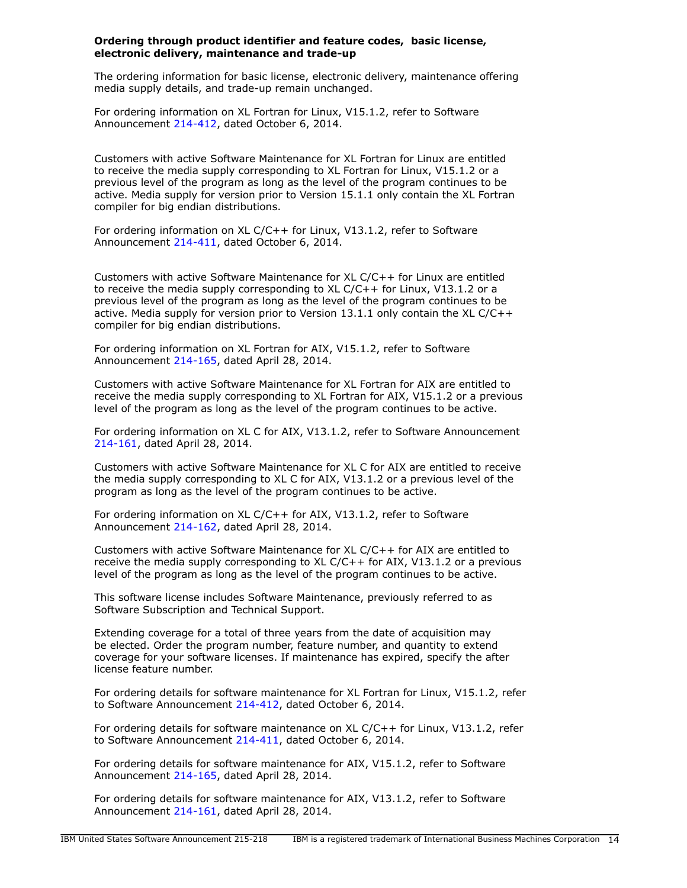#### **Ordering through product identifier and feature codes, basic license, electronic delivery, maintenance and trade-up**

The ordering information for basic license, electronic delivery, maintenance offering media supply details, and trade-up remain unchanged.

For ordering information on XL Fortran for Linux, V15.1.2, refer to Software Announcement [214-412](http://www.ibm.com/common/ssi/cgi-bin/ssialias?infotype=an&subtype=ca&appname=gpateam&supplier=897&letternum=ENUS214-412), dated October 6, 2014.

Customers with active Software Maintenance for XL Fortran for Linux are entitled to receive the media supply corresponding to XL Fortran for Linux, V15.1.2 or a previous level of the program as long as the level of the program continues to be active. Media supply for version prior to Version 15.1.1 only contain the XL Fortran compiler for big endian distributions.

For ordering information on XL C/C++ for Linux, V13.1.2, refer to Software Announcement [214-411](http://www.ibm.com/common/ssi/cgi-bin/ssialias?infotype=an&subtype=ca&appname=gpateam&supplier=897&letternum=ENUS214-411), dated October 6, 2014.

Customers with active Software Maintenance for XL C/C++ for Linux are entitled to receive the media supply corresponding to XL C/C++ for Linux, V13.1.2 or a previous level of the program as long as the level of the program continues to be active. Media supply for version prior to Version  $13.1.1$  only contain the XL C/C++ compiler for big endian distributions.

For ordering information on XL Fortran for AIX, V15.1.2, refer to Software Announcement [214-165](http://www.ibm.com/common/ssi/cgi-bin/ssialias?infotype=an&subtype=ca&appname=gpateam&supplier=897&letternum=ENUS214-165), dated April 28, 2014.

Customers with active Software Maintenance for XL Fortran for AIX are entitled to receive the media supply corresponding to XL Fortran for AIX, V15.1.2 or a previous level of the program as long as the level of the program continues to be active.

For ordering information on XL C for AIX, V13.1.2, refer to Software Announcement [214-161](http://www.ibm.com/common/ssi/cgi-bin/ssialias?infotype=an&subtype=ca&appname=gpateam&supplier=897&letternum=ENUS214-161), dated April 28, 2014.

Customers with active Software Maintenance for XL C for AIX are entitled to receive the media supply corresponding to XL C for AIX, V13.1.2 or a previous level of the program as long as the level of the program continues to be active.

For ordering information on XL C/C++ for AIX, V13.1.2, refer to Software Announcement [214-162](http://www.ibm.com/common/ssi/cgi-bin/ssialias?infotype=an&subtype=ca&appname=gpateam&supplier=897&letternum=ENUS214-162), dated April 28, 2014.

Customers with active Software Maintenance for XL C/C++ for AIX are entitled to receive the media supply corresponding to XL C/C++ for AIX, V13.1.2 or a previous level of the program as long as the level of the program continues to be active.

This software license includes Software Maintenance, previously referred to as Software Subscription and Technical Support.

Extending coverage for a total of three years from the date of acquisition may be elected. Order the program number, feature number, and quantity to extend coverage for your software licenses. If maintenance has expired, specify the after license feature number.

For ordering details for software maintenance for XL Fortran for Linux, V15.1.2, refer to Software Announcement [214-412,](http://www.ibm.com/common/ssi/cgi-bin/ssialias?infotype=an&subtype=ca&appname=gpateam&supplier=897&letternum=ENUS214-412) dated October 6, 2014.

For ordering details for software maintenance on XL C/C++ for Linux, V13.1.2, refer to Software Announcement [214-411,](http://www.ibm.com/common/ssi/cgi-bin/ssialias?infotype=an&subtype=ca&appname=gpateam&supplier=897&letternum=ENUS214-411) dated October 6, 2014.

For ordering details for software maintenance for AIX, V15.1.2, refer to Software Announcement [214-165](http://www.ibm.com/common/ssi/cgi-bin/ssialias?infotype=an&subtype=ca&appname=gpateam&supplier=897&letternum=ENUS214-165), dated April 28, 2014.

For ordering details for software maintenance for AIX, V13.1.2, refer to Software Announcement [214-161](http://www.ibm.com/common/ssi/cgi-bin/ssialias?infotype=an&subtype=ca&appname=gpateam&supplier=897&letternum=ENUS214-161), dated April 28, 2014.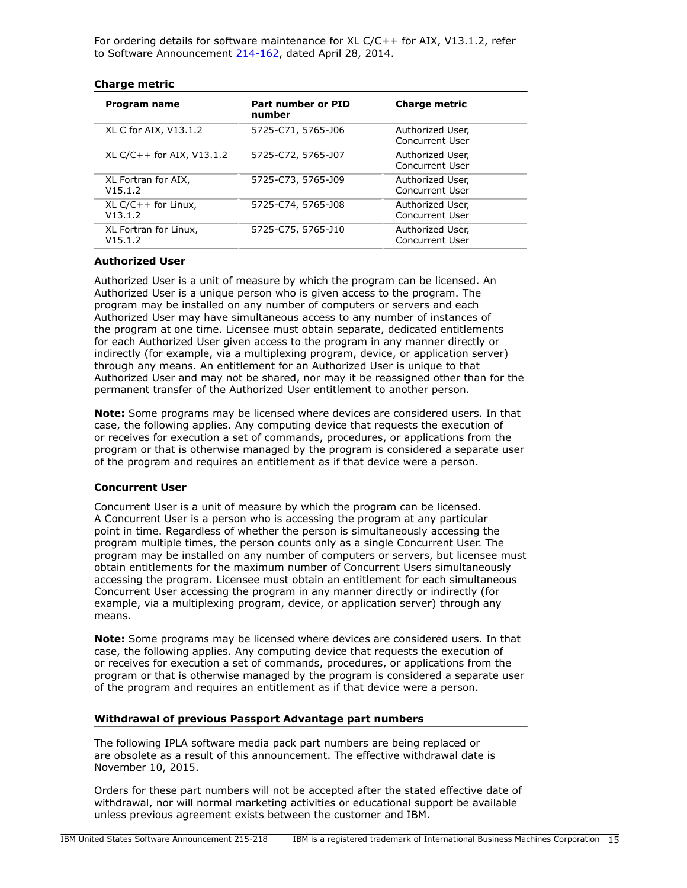For ordering details for software maintenance for XL C/C++ for AIX, V13.1.2, refer to Software Announcement [214-162,](http://www.ibm.com/common/ssi/cgi-bin/ssialias?infotype=an&subtype=ca&appname=gpateam&supplier=897&letternum=ENUS214-162) dated April 28, 2014.

| <b>Charge metric</b> |  |
|----------------------|--|
|----------------------|--|

| Program name                     | Part number or PID<br>number | <b>Charge metric</b>                |
|----------------------------------|------------------------------|-------------------------------------|
| XL C for AIX, V13.1.2            | 5725-C71, 5765-J06           | Authorized User,<br>Concurrent User |
| XL C/C++ for AIX, V13.1.2        | 5725-C72, 5765-J07           | Authorized User,<br>Concurrent User |
| XL Fortran for AIX,<br>V15.1.2   | 5725-C73, 5765-J09           | Authorized User,<br>Concurrent User |
| $XL C/C++$ for Linux,<br>V13.1.2 | 5725-C74, 5765-J08           | Authorized User,<br>Concurrent User |
| XL Fortran for Linux,<br>V15.1.2 | 5725-C75, 5765-J10           | Authorized User,<br>Concurrent User |

#### **Authorized User**

Authorized User is a unit of measure by which the program can be licensed. An Authorized User is a unique person who is given access to the program. The program may be installed on any number of computers or servers and each Authorized User may have simultaneous access to any number of instances of the program at one time. Licensee must obtain separate, dedicated entitlements for each Authorized User given access to the program in any manner directly or indirectly (for example, via a multiplexing program, device, or application server) through any means. An entitlement for an Authorized User is unique to that Authorized User and may not be shared, nor may it be reassigned other than for the permanent transfer of the Authorized User entitlement to another person.

**Note:** Some programs may be licensed where devices are considered users. In that case, the following applies. Any computing device that requests the execution of or receives for execution a set of commands, procedures, or applications from the program or that is otherwise managed by the program is considered a separate user of the program and requires an entitlement as if that device were a person.

#### **Concurrent User**

Concurrent User is a unit of measure by which the program can be licensed. A Concurrent User is a person who is accessing the program at any particular point in time. Regardless of whether the person is simultaneously accessing the program multiple times, the person counts only as a single Concurrent User. The program may be installed on any number of computers or servers, but licensee must obtain entitlements for the maximum number of Concurrent Users simultaneously accessing the program. Licensee must obtain an entitlement for each simultaneous Concurrent User accessing the program in any manner directly or indirectly (for example, via a multiplexing program, device, or application server) through any means.

**Note:** Some programs may be licensed where devices are considered users. In that case, the following applies. Any computing device that requests the execution of or receives for execution a set of commands, procedures, or applications from the program or that is otherwise managed by the program is considered a separate user of the program and requires an entitlement as if that device were a person.

#### **Withdrawal of previous Passport Advantage part numbers**

The following IPLA software media pack part numbers are being replaced or are obsolete as a result of this announcement. The effective withdrawal date is November 10, 2015.

Orders for these part numbers will not be accepted after the stated effective date of withdrawal, nor will normal marketing activities or educational support be available unless previous agreement exists between the customer and IBM.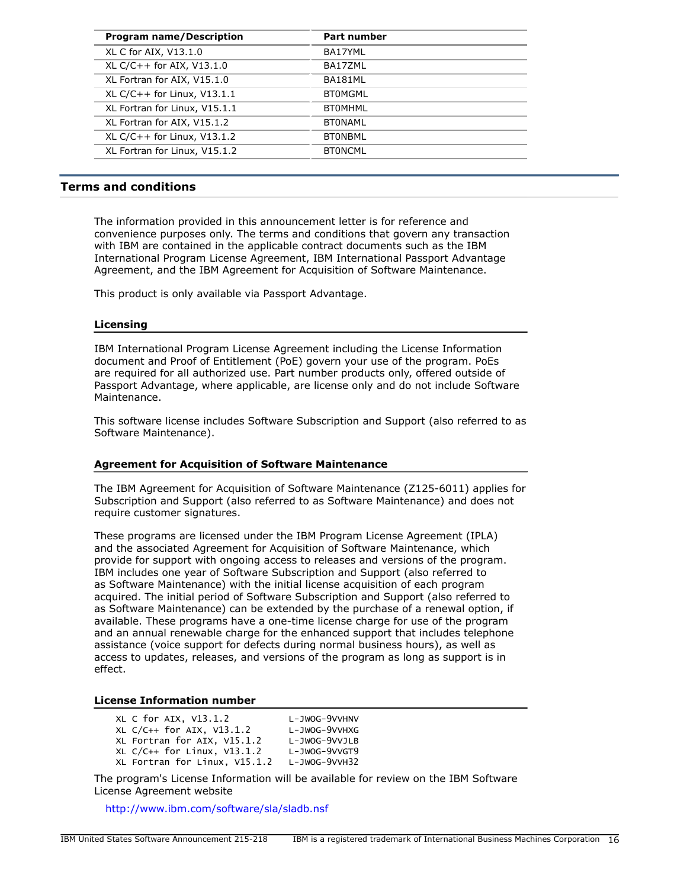| <b>Program name/Description</b> | <b>Part number</b> |
|---------------------------------|--------------------|
| XL C for AIX, V13.1.0           | BA17YML            |
| XL C/C++ for AIX, V13.1.0       | BA17ZML            |
| XL Fortran for AIX, V15.1.0     | BA181ML            |
| XL C/C++ for Linux, V13.1.1     | <b>BTOMGML</b>     |
| XL Fortran for Linux, V15.1.1   | <b>BTOMHML</b>     |
| XL Fortran for AIX, V15.1.2     | <b>BTONAML</b>     |
| XL C/C++ for Linux, $V13.1.2$   | <b>BTONBML</b>     |
| XL Fortran for Linux, V15.1.2   | <b>BTONCML</b>     |

#### <span id="page-15-0"></span>**Terms and conditions**

The information provided in this announcement letter is for reference and convenience purposes only. The terms and conditions that govern any transaction with IBM are contained in the applicable contract documents such as the IBM International Program License Agreement, IBM International Passport Advantage Agreement, and the IBM Agreement for Acquisition of Software Maintenance.

This product is only available via Passport Advantage.

#### **Licensing**

IBM International Program License Agreement including the License Information document and Proof of Entitlement (PoE) govern your use of the program. PoEs are required for all authorized use. Part number products only, offered outside of Passport Advantage, where applicable, are license only and do not include Software Maintenance.

This software license includes Software Subscription and Support (also referred to as Software Maintenance).

#### **Agreement for Acquisition of Software Maintenance**

The IBM Agreement for Acquisition of Software Maintenance (Z125-6011) applies for Subscription and Support (also referred to as Software Maintenance) and does not require customer signatures.

These programs are licensed under the IBM Program License Agreement (IPLA) and the associated Agreement for Acquisition of Software Maintenance, which provide for support with ongoing access to releases and versions of the program. IBM includes one year of Software Subscription and Support (also referred to as Software Maintenance) with the initial license acquisition of each program acquired. The initial period of Software Subscription and Support (also referred to as Software Maintenance) can be extended by the purchase of a renewal option, if available. These programs have a one-time license charge for use of the program and an annual renewable charge for the enhanced support that includes telephone assistance (voice support for defects during normal business hours), as well as access to updates, releases, and versions of the program as long as support is in effect.

#### **License Information number**

| XL C for AIX, V13.1.2           | L-JWOG-9VVHNV       |
|---------------------------------|---------------------|
| XL $C/C++$ for AIX, $V13.1.2$   | L-JWOG-9VVHXG       |
| XL Fortran for AIX, V15.1.2     | L-JWOG-9VVJLB       |
| $XL C/C++$ for Linux, $V13.1.2$ | $L - JWOG - 9VVGT9$ |
| XL Fortran for Linux, V15.1.2   | L-JWOG-9VVH32       |

The program's License Information will be available for review on the IBM Software License Agreement website

<http://www.ibm.com/software/sla/sladb.nsf>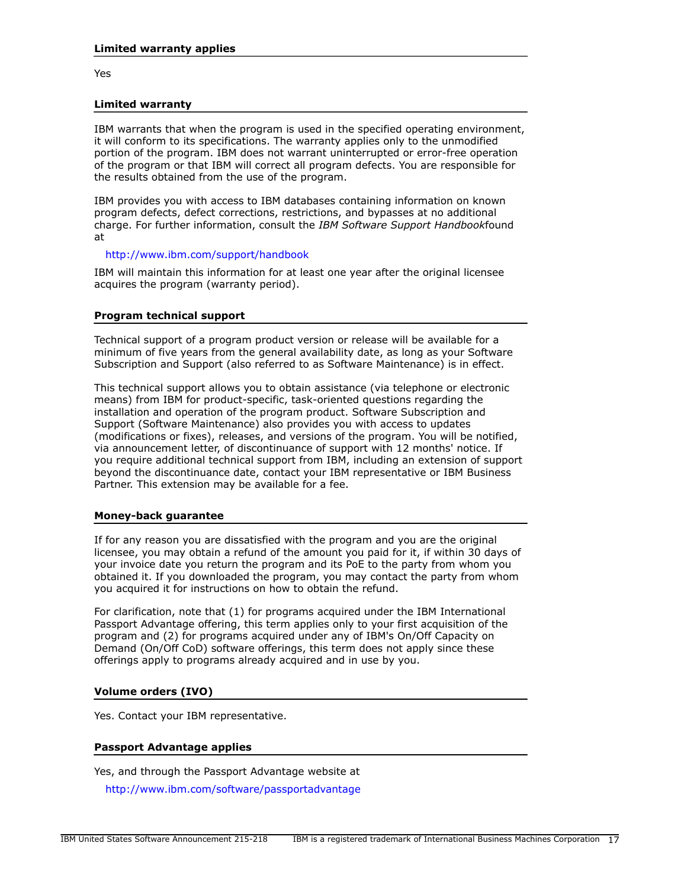Yes

#### **Limited warranty**

IBM warrants that when the program is used in the specified operating environment, it will conform to its specifications. The warranty applies only to the unmodified portion of the program. IBM does not warrant uninterrupted or error-free operation of the program or that IBM will correct all program defects. You are responsible for the results obtained from the use of the program.

IBM provides you with access to IBM databases containing information on known program defects, defect corrections, restrictions, and bypasses at no additional charge. For further information, consult the *IBM Software Support Handbook*found at

#### <http://www.ibm.com/support/handbook>

IBM will maintain this information for at least one year after the original licensee acquires the program (warranty period).

#### **Program technical support**

Technical support of a program product version or release will be available for a minimum of five years from the general availability date, as long as your Software Subscription and Support (also referred to as Software Maintenance) is in effect.

This technical support allows you to obtain assistance (via telephone or electronic means) from IBM for product-specific, task-oriented questions regarding the installation and operation of the program product. Software Subscription and Support (Software Maintenance) also provides you with access to updates (modifications or fixes), releases, and versions of the program. You will be notified, via announcement letter, of discontinuance of support with 12 months' notice. If you require additional technical support from IBM, including an extension of support beyond the discontinuance date, contact your IBM representative or IBM Business Partner. This extension may be available for a fee.

#### **Money-back guarantee**

If for any reason you are dissatisfied with the program and you are the original licensee, you may obtain a refund of the amount you paid for it, if within 30 days of your invoice date you return the program and its PoE to the party from whom you obtained it. If you downloaded the program, you may contact the party from whom you acquired it for instructions on how to obtain the refund.

For clarification, note that (1) for programs acquired under the IBM International Passport Advantage offering, this term applies only to your first acquisition of the program and (2) for programs acquired under any of IBM's On/Off Capacity on Demand (On/Off CoD) software offerings, this term does not apply since these offerings apply to programs already acquired and in use by you.

# **Volume orders (IVO)**

Yes. Contact your IBM representative.

# **Passport Advantage applies**

Yes, and through the Passport Advantage website at

<http://www.ibm.com/software/passportadvantage>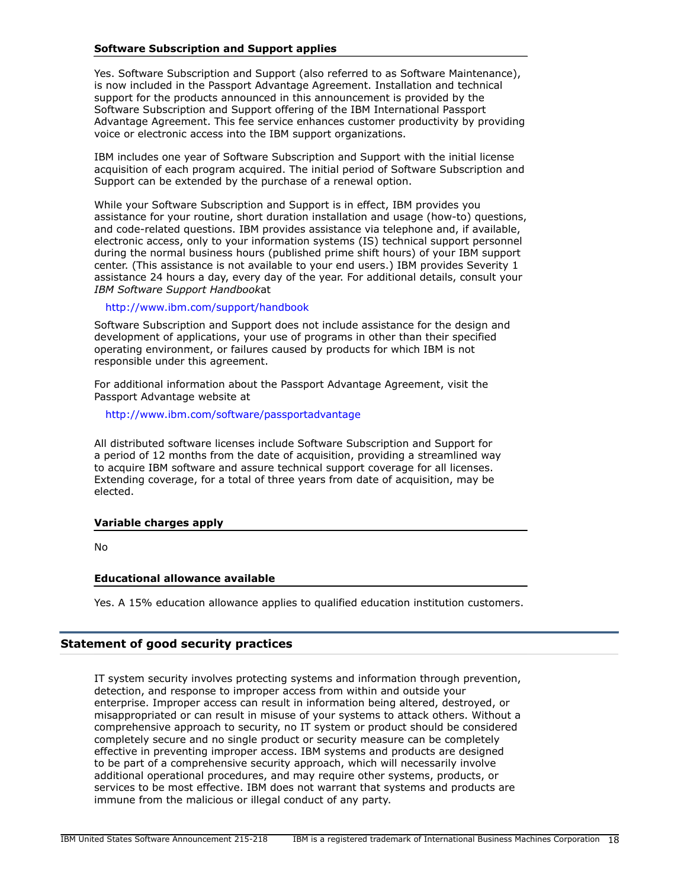# **Software Subscription and Support applies**

Yes. Software Subscription and Support (also referred to as Software Maintenance), is now included in the Passport Advantage Agreement. Installation and technical support for the products announced in this announcement is provided by the Software Subscription and Support offering of the IBM International Passport Advantage Agreement. This fee service enhances customer productivity by providing voice or electronic access into the IBM support organizations.

IBM includes one year of Software Subscription and Support with the initial license acquisition of each program acquired. The initial period of Software Subscription and Support can be extended by the purchase of a renewal option.

While your Software Subscription and Support is in effect, IBM provides you assistance for your routine, short duration installation and usage (how-to) questions, and code-related questions. IBM provides assistance via telephone and, if available, electronic access, only to your information systems (IS) technical support personnel during the normal business hours (published prime shift hours) of your IBM support center. (This assistance is not available to your end users.) IBM provides Severity 1 assistance 24 hours a day, every day of the year. For additional details, consult your *IBM Software Support Handbook*at

<http://www.ibm.com/support/handbook>

Software Subscription and Support does not include assistance for the design and development of applications, your use of programs in other than their specified operating environment, or failures caused by products for which IBM is not responsible under this agreement.

For additional information about the Passport Advantage Agreement, visit the Passport Advantage website at

<http://www.ibm.com/software/passportadvantage>

All distributed software licenses include Software Subscription and Support for a period of 12 months from the date of acquisition, providing a streamlined way to acquire IBM software and assure technical support coverage for all licenses. Extending coverage, for a total of three years from date of acquisition, may be elected.

# **Variable charges apply**

No

#### **Educational allowance available**

Yes. A 15% education allowance applies to qualified education institution customers.

#### **Statement of good security practices**

IT system security involves protecting systems and information through prevention, detection, and response to improper access from within and outside your enterprise. Improper access can result in information being altered, destroyed, or misappropriated or can result in misuse of your systems to attack others. Without a comprehensive approach to security, no IT system or product should be considered completely secure and no single product or security measure can be completely effective in preventing improper access. IBM systems and products are designed to be part of a comprehensive security approach, which will necessarily involve additional operational procedures, and may require other systems, products, or services to be most effective. IBM does not warrant that systems and products are immune from the malicious or illegal conduct of any party.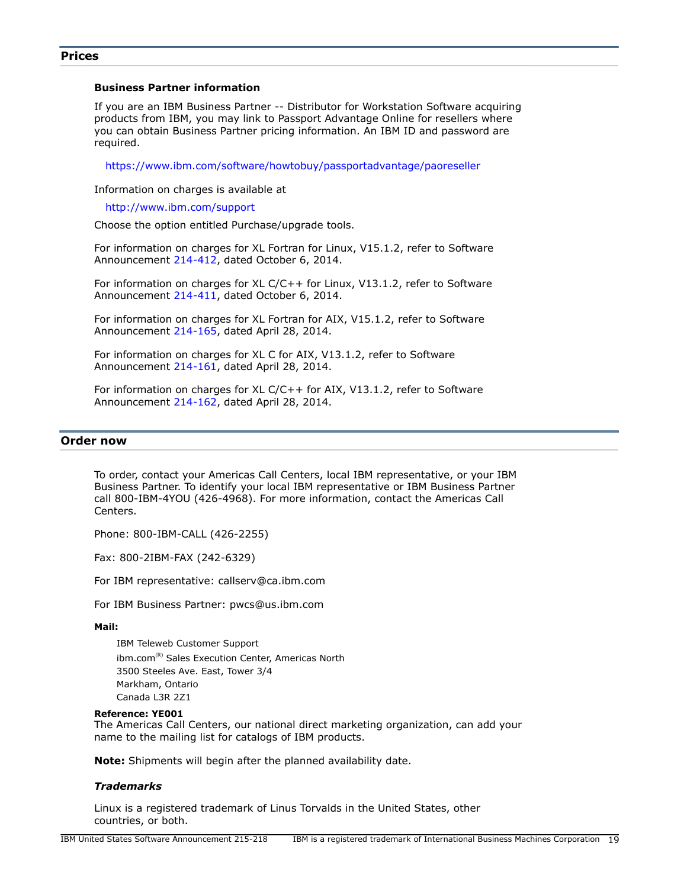#### <span id="page-18-0"></span>**Prices**

#### **Business Partner information**

If you are an IBM Business Partner -- Distributor for Workstation Software acquiring products from IBM, you may link to Passport Advantage Online for resellers where you can obtain Business Partner pricing information. An IBM ID and password are required.

<https://www.ibm.com/software/howtobuy/passportadvantage/paoreseller>

Information on charges is available at

<http://www.ibm.com/support>

Choose the option entitled Purchase/upgrade tools.

For information on charges for XL Fortran for Linux, V15.1.2, refer to Software Announcement [214-412](http://www.ibm.com/common/ssi/cgi-bin/ssialias?infotype=an&subtype=ca&appname=gpateam&supplier=897&letternum=ENUS214-412), dated October 6, 2014.

For information on charges for XL C/C++ for Linux, V13.1.2, refer to Software Announcement [214-411](http://www.ibm.com/common/ssi/cgi-bin/ssialias?infotype=an&subtype=ca&appname=gpateam&supplier=897&letternum=ENUS214-411), dated October 6, 2014.

For information on charges for XL Fortran for AIX, V15.1.2, refer to Software Announcement [214-165](http://www.ibm.com/common/ssi/cgi-bin/ssialias?infotype=an&subtype=ca&appname=gpateam&supplier=897&letternum=ENUS214-165), dated April 28, 2014.

For information on charges for XL C for AIX, V13.1.2, refer to Software Announcement [214-161](http://www.ibm.com/common/ssi/cgi-bin/ssialias?infotype=an&subtype=ca&appname=gpateam&supplier=897&letternum=ENUS214-161), dated April 28, 2014.

For information on charges for XL C/C++ for AIX, V13.1.2, refer to Software Announcement [214-162](http://www.ibm.com/common/ssi/cgi-bin/ssialias?infotype=an&subtype=ca&appname=gpateam&supplier=897&letternum=ENUS214-162), dated April 28, 2014.

#### <span id="page-18-1"></span>**Order now**

To order, contact your Americas Call Centers, local IBM representative, or your IBM Business Partner. To identify your local IBM representative or IBM Business Partner call 800-IBM-4YOU (426-4968). For more information, contact the Americas Call Centers.

Phone: 800-IBM-CALL (426-2255)

Fax: 800-2IBM-FAX (242-6329)

For IBM representative: callserv@ca.ibm.com

For IBM Business Partner: pwcs@us.ibm.com

#### **Mail:**

IBM Teleweb Customer Support ibm.com<sup>(R)</sup> Sales Execution Center, Americas North 3500 Steeles Ave. East, Tower 3/4 Markham, Ontario Canada L3R 2Z1

#### **Reference: YE001**

The Americas Call Centers, our national direct marketing organization, can add your name to the mailing list for catalogs of IBM products.

**Note:** Shipments will begin after the planned availability date.

#### *Trademarks*

Linux is a registered trademark of Linus Torvalds in the United States, other countries, or both.